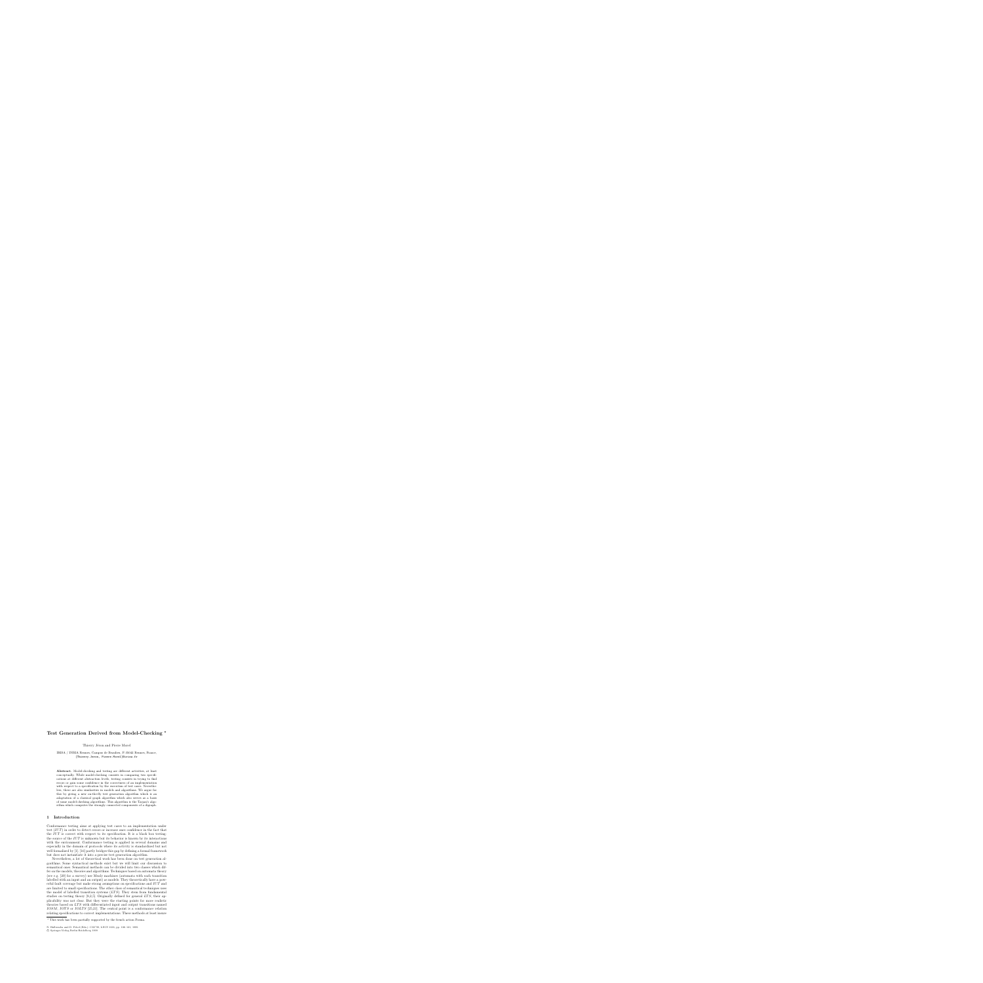# **Test Generation Derived from Model-Checking**

Thierry Jéron and Pierre Morel

IRISA / INRIA Rennes, Campus de Beaulieu, F-35042 Rennes, France, {Thierry.Jeron, Pierre.Morel}@irisa.fr

**Abstract.** Model-checking and testing are different activities, at least conceptually. While model-checking consists in comparing two specifications at different abstraction levels, testing consists in trying to find errors or gain some confidence in the correctness of an implementation with respect to a specification by the execution of test cases. Nevertheless, there are also similarities in models and algorithms. We argue for this by giving a new on-the-fly test generation algorithm which is an adaptation of a classical graph algorithm which also serves as a basis of some model-checking algorithms. This algorithm is the Tarjan's algorithm which computes the strongly connected components of a digraph.

### **1 Introduction**

Conformance testing aims at applying test cases to an implementation under test  $(IVT)$  in order to detect errors or increase ones confidence in the fact that the IUT is correct with respect to its specification. It is a black box testing: the source of the  $IUT$  is unknown but its behavior is known by its interactions with the environment. Conformance testing is applied in several domains and especially in the domain of protocols where its activity is standardized but not well formalized by [1]. [16] partly bridges this gap by defining a formal framework but does not instantiate it into a precise test generation algorithm.

Nevertheless, a lot of theoretical work has been done on test generation algorithms. Some syntactical methods exist but we will limit our discussion to semantical ones. Semantical methods can be divided into two classes which differ on the models, theories and algorithms. Techniques based on automata theory (see e.g. [20] for a survey) use Mealy machines (automata with each transition labelled with an input and an output) as models. They theoretically have a powerful fault coverage but make strong asumptions on specifications and IUT and are limited to small specifications. The other class of semantical techniques uses the model of labelled transition systems  $(LTS)$ . They stem from fundamental studies on testing theory [8,2,5]. Originally defined for general  $LTS$ , their applicability was not clear. But they were the starting points for more realistic theories based on LTS with differentiated input and output transitions named IOSM, IOTS or IOLTS [25,21]. The central point is a conformance relation relating specifications to correct implementations. These methods at least insure

<sup>\*</sup> This work has been partially supported by the french action Forma.

N. Halbwachs and D. Peled (Eds.): CAV'99, LNCS 1633, pp. 108–121, 1999.

c Springer-Verlag Berlin Heidelberg 1999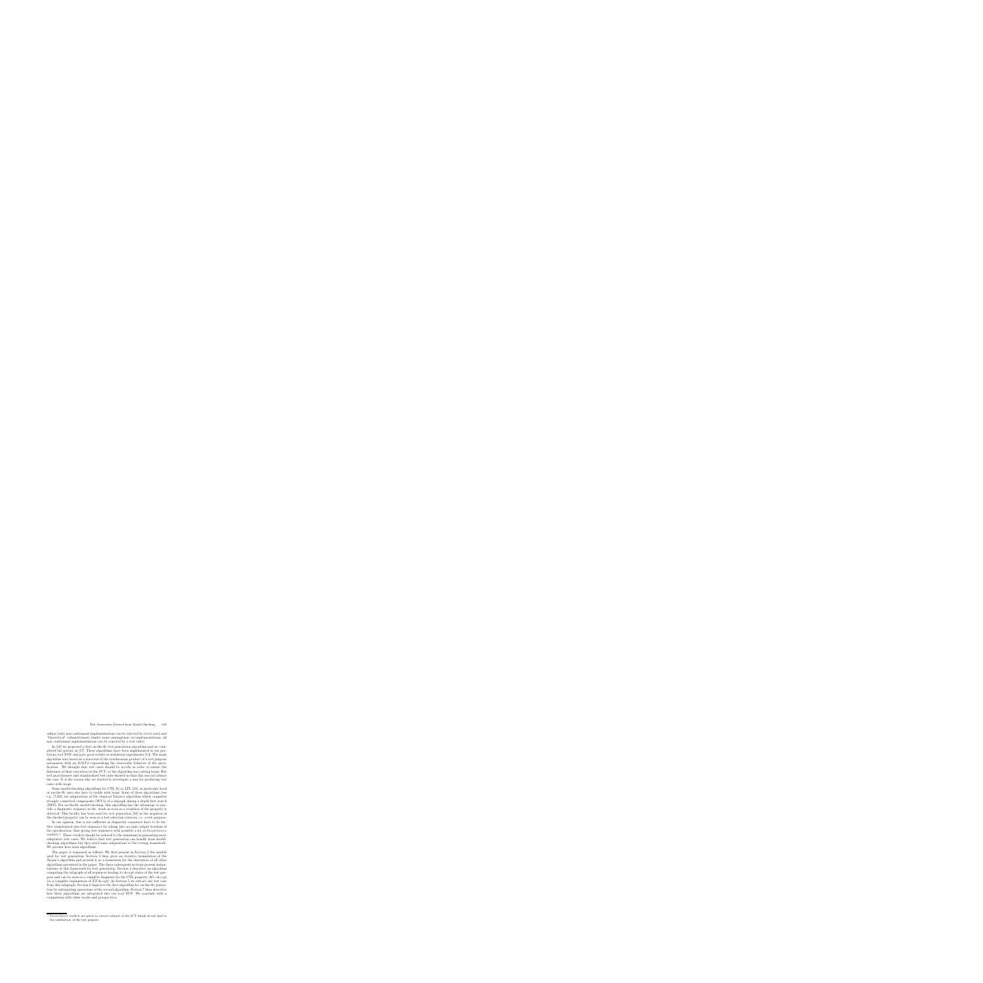unbias (only non conformant implementations can be rejected by a test case) and "theoretical" exhaustiveness (under some assumptions on implementations, all non conformant implementations can be rejected by a test suite).

In [12] we proposed a first on-the-fly test generation algorithm and we completed the picture in [17]. These algorithms have been implemented in our prototype tool TGV and gave good results on industrial experiments [13]. The main algorithm was based on a traversal of the synchronous product of a test purpose automaton with an *IOLTS* representing the observable behavior of the specification. We thought that test cases should be acyclic in order to ensure the finiteness of their execution on the  $IUT$ , so the algorithm was cutting loops. But test practitioners and standardized test suite showed us that this was not always the case. It is the reason why we started to investigate a way for producing test cases with loops.

Some model-checking algorithms for CTL [6] or LTL [23], in particular local or on-the-fly ones also have to tackle with loops. Some of these algorithms (see e.g. [7,26]) are adaptations of the classical Tarjan's algorithm which computes strongly connected components (SCCs) of a digraph during a depth first search (DFS). For on-the-fly model-checking, this algorithm has the advantage to provide a diagnostic sequence in the stack as soon as a violation of the property is detected. This facility has been used for test generation [10] as the negation of the checked property can be seen as a test selection criterion, i.e. a test purpose.

In our opinion, this is not sufficient as diagnostic sequences have to be further transformed into test sequences by taking into account output freedom of the specification, thus giving test sequences with possibly a lot of Inconclusive verdicts  $<sup>1</sup>$ . These verdicts should be reduced to the minimum in generating more</sup> adaptative test cases. We believe that test generation can benefit from modelchecking algorithms but they need some adaptations to the testing framework. We present here such algorithms.

The paper is organized as follows. We first present in Section 2 the models used for test generation. Section 3 then gives an iterative formulation of the Tarjan's algorithm and present it as a framework for the derivation of all other algorithms presented in the paper. The three subsequent sections present instantiations of this framework for test generation. Section 4 describes an algorithm computing the subgraph of all sequences leading to Accept states of the test purpose and can be seen as a complete diagnosis for the CTL property  $AG\neg Accept$ (or a complete explanation of  $EFAccept$ ). In Section 5 we extract one test case from this subgraph. Section 6 improves the first algorithm for on-the-fly generation by anticipating operations of the second algorithm. Section 7 then describes how these algorithms are integrated into our tool TGV. We conclude with a comparison with other works and perspectives.

Inconclusive verdicts are given to correct outputs of the IUT which do not lead to the satisfaction of the test purpose.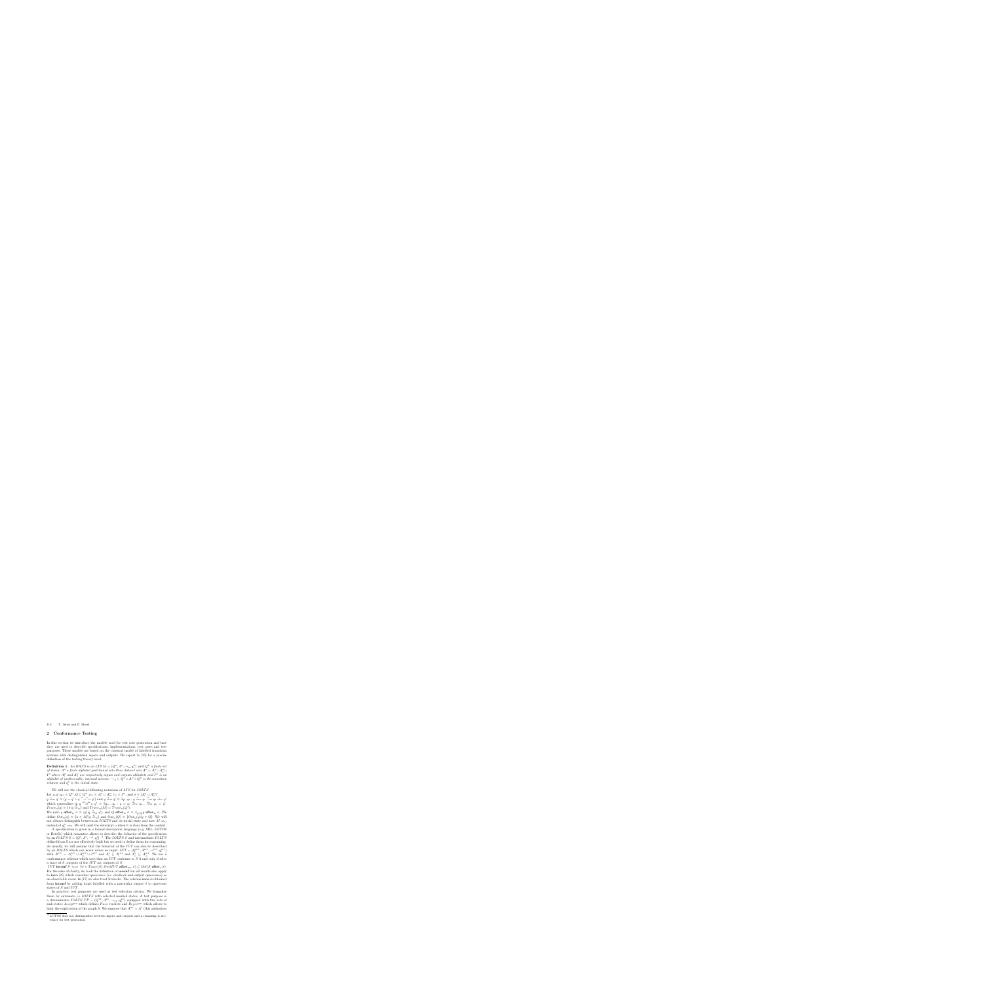### **2 Conformance Testing**

In this section we introduce the models used for test case generation and how they are used to describe specifications, implementations, test cases and test purposes. These models are based on the classical model of labelled transition systems with distinguished inputs and outputs. We report to [25] for a precise definition of the testing theory used.

**Definition 1.** An IOLTS is an LTS  $M = (Q^M, A^M, \rightarrow_M, q^M)$  with  $Q^M$  a finite set *of states,*  $A^M$  *a finite alphabet partitioned into three distinct sets*  $A^M = A^M_I \cup A^M_O \cup$  $I^M$  where  $A_I^M$  and  $A_O^M$  are respectively inputs and outputs alphabets and  $I^M$  is an *alphabet of unobservable, internal actions,*  $\rightarrow_M \subset Q^M \times A^M \times Q^M$  *is the transition relation and*  $q_0^M$  *is the initial state.* 

We will use the classical following notations of LTS for IOLTS. Let  $q, q', q_{\scriptscriptstyle(i)} \in Q^{\scriptscriptstyle{\mathrm{M}}}, Q \subseteq Q^{\scriptscriptstyle{\mathrm{M}}}, a_{\scriptscriptstyle(i)} \in A^{\scriptscriptstyle{\mathrm{M}}}_{\scriptscriptstyle{\mathrm{I}}} \cup A^{\scriptscriptstyle{\mathrm{M}}}_{\scriptscriptstyle{\mathrm{O}}}, \tau_{\scriptscriptstyle(i)} \in I^{\scriptscriptstyle{\mathrm{M}}}, \text{ and } \sigma \in (A^{\scriptscriptstyle{\mathrm{M}}}_{\scriptscriptstyle{\mathrm{I}}} \cup A^{\scriptscriptstyle{\mathrm{M}}}_{\scriptscriptstyle{\mathrm{O}}})^*$ .  $q \stackrel{\epsilon}{\Rightarrow}_{\mathcal{M}} q' \equiv (q = q' \vee q \stackrel{\tau_1 \dots \tau_n}{\rightarrow}_{\mathcal{M}} q')$  and  $q \stackrel{a}{\Rightarrow}_{\mathcal{M}} q' \equiv \exists q_1, q_2 : q \stackrel{\epsilon}{\Rightarrow}_{\mathcal{M}} q_1 \stackrel{a}{\rightarrow}_{\mathcal{M}} q_2 \stackrel{\epsilon}{\Rightarrow}_{\mathcal{M}} q'$ <br>which generalizes in  $q \stackrel{a_1 \dots a_m}{\rightarrow}_{\mathcal{M}} q' \equiv \exists q_0, ... q_n : q = q_0 \stackrel{a_1}{\rightarrow}_{$  $Trace_{\mathcal{M}}(q) \equiv {\sigma | q \stackrel{\sigma}{\Rightarrow}_{\mathcal{M}} }$  and  $Trace_{\mathcal{M}}(M) = Trace_{\mathcal{M}}(q_{0}^{\mathcal{M}})$ .

We note q **after**<sub>M</sub>  $\sigma \equiv \{q' | q \stackrel{\sigma}{\Rightarrow}_M q'\}$  and Q **after**<sub>M</sub>  $\sigma \equiv \bigcup_{q \in Q} q$  **after**<sub>M</sub>  $\sigma$ . We define  $Out_{\mathcal{M}}(q) \equiv \{a \in A_{\mathcal{O}}^{\mathcal{M}} | q \stackrel{a}{\Rightarrow}_{\mathcal{M}} \}$  and  $Out_{\mathcal{M}}(Q) \equiv \{Out_{\mathcal{M}}(q) | q \in Q \}$ . We will not always distinguish between an *IOLTS* and its initial state and note  $M \Rightarrow_M$ instead of  $q_0^M \Rightarrow_M$ . We will omit the subscript M when it is clear from the context.

A specification is given in a formal description language (e.g. SDL, LOTOS or Estelle) which semantics allows to describe the behavior of the specification by an *IOLTS*  $S = (Q^s, A^s, \rightarrow^s, q_0^s)$ <sup>2</sup>. The *IOLTS* S and intermediate *IOLTS* defined from S are not effectively built but we need to define them for reasonning. As usually, we will assume that the behavior of the IUT can also be described by an *IOLTS* which can never refuse an input:  $IUT = (Q<sup>1UT</sup>, A<sup>1UT</sup>, \rightarrow<sup>1UT</sup>, q<sub>0</sub><sup>1UT</sup>)$ with  $A^{IUT} = A^{IUT}_I \cup A^{IUT}_O \cup I^{IUT}$  and  $A^S_I \subseteq A^{IUT}_I$  and  $A^S_O \subseteq A^{IUT}_O$ . We use a conformance relation which says that an  $IUT$  conforms to  $S$  if and only if after a trace of  $S$ , outputs of the  $IUT$  are outputs of  $S$ :

 $IUT$  **ioconf**  $S \iff \forall \sigma \in Trace(S), Out(III \text{ after }_{\text{IUT}} \sigma) \subseteq Out(S \text{ after }_{S} \sigma)$ For the sake of clarity, we took the definition of **ioconf** but all results also apply to **ioco** [25] which considers quiescence (i.e. deadlock and output quiescence) as an observable event. In [17] we also treat livelocks. The relation **ioco** is obtained from **ioconf** by adding loops labelled with a particular output  $\delta$  to quiescent states of S and IUT.

In practice, test purposes are used as test selection criteria. We formalize them by automata i.e *IOLTS* with selected marked states. A test purpose is a deterministic  $IOLTSTP = (Q^{TP}, A^{TP}, \rightarrow_{TP}, q_0^{TP})$  equipped with two sets of sink states  $Accept^{\text{TP}}$  which defines Pass verdicts and  $Reject^{\text{TP}}$  which allows to limit the exploration of the graph S. We suppose that  $A^{\text{TP}} = A^{\text{s}}$  (this authorizes

<sup>2</sup> LOTOS does not distinguishes between inputs and outputs and a renaming is necessary for test generation.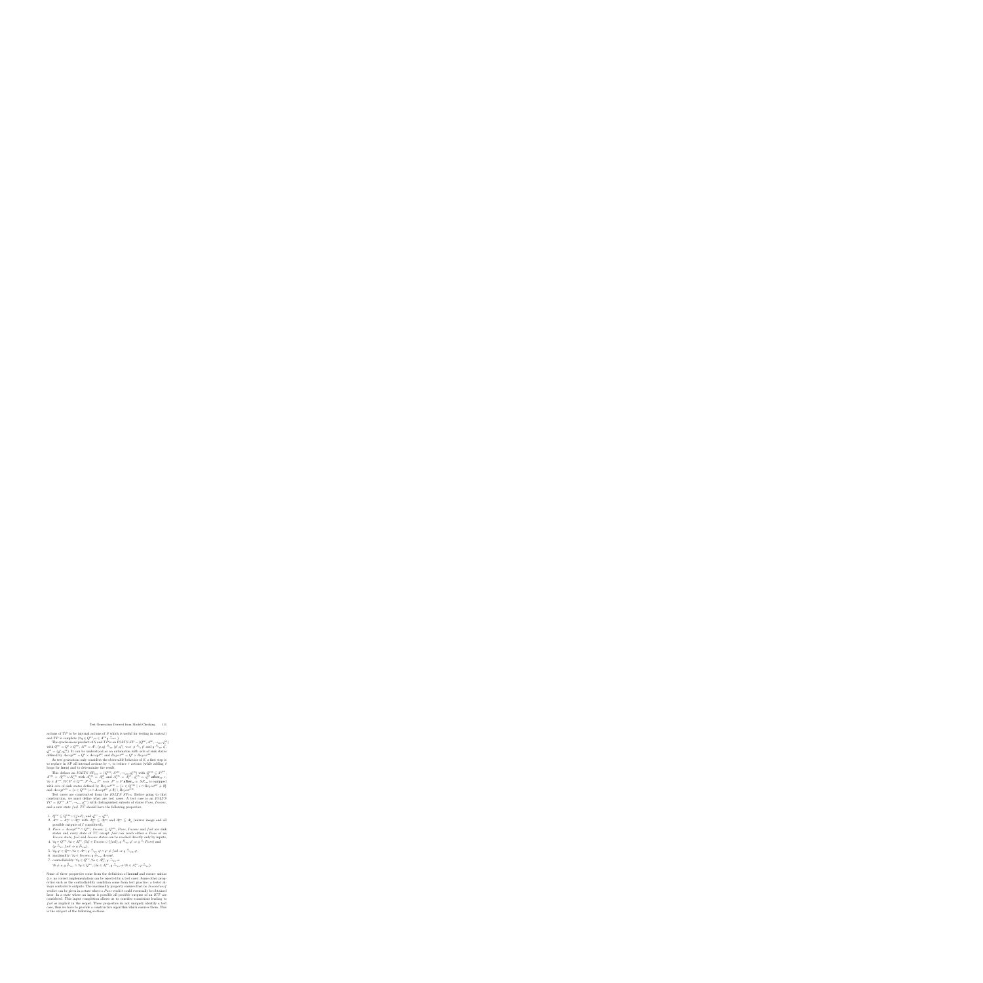actions of  $TP$  to be internal actions of  $S$  which is useful for testing in context) and  $TP$  is complete  $(\forall q \in Q^{\text{TP}}, a \in A^{\text{TP}}q \stackrel{a}{\rightarrow}_{\text{TP}})$ .

The synchronous product of S and TP is an  $IOLTS$   $SP = (Q^{\text{SP}}, A^{\text{SP}}, \rightarrow_{\text{SP}}, q_0^{\text{SP}})$ with  $Q^{\text{SP}} = Q^{\text{S}} \times Q^{\text{TP}}$ ,  $A^{\text{SP}} = A^{\text{S}}$ ,  $(p, q) \xrightarrow{a}_{\text{SP}} (p', q') \iff p \xrightarrow{a}_{\text{S}} p'$  and  $q \xrightarrow{a}_{\text{TP}} q'$ ,  $q_0^{\text{SP}} = (q_0^{\text{S}}, q_0^{\text{TP}})$ . It can be understood as an automaton with sets of sink states defined by  $Accept^{\text{SP}} = Q^{\text{S}} \times Accept^{\text{TP}}$  and  $Reject^{\text{SP}} = Q^{\text{S}} \times Reject^{\text{TP}}$ .

As test generation only considers the observable behavior of  $S$ , a first step is to replace in SP all internal actions by  $\tau$ , to reduce  $\tau$  actions (while adding  $\delta$ loops for **ioco**) and to determinize the result.

This defines an *IOLTS*  $SP_{\text{VIS}} = (Q^{\text{VIS}}, A^{\text{VIS}}, \rightarrow_{\text{VIS}}, q^{\text{VIS}}_0)$  with  $Q^{\text{VIS}} \subseteq 2^{Q^{\text{SP}}}$ ,  $A<sup>VIS</sup> = A<sub>I</sub><sup>VIS</sup> \cup A<sub>O</sub><sup>VIS</sup> with A<sub>O</sub><sup>VIS</sup> = A<sub>O</sub><sup>SP</sup> and A<sub>I</sub><sup>VIS</sup> = A<sub>I</sub><sup>SP</sup>, q<sub>0</sub><sup>VIS</sup> = q<sub>0</sub><sup>SP</sup> after<sub>SP</sub>  $\epsilon$ ,$  $\forall a \in A^{\text{vis}}, \forall P, P' \in Q^{\text{vis}}, P \xrightarrow{a}_{\forall \text{lis}} P' \iff P' = P \text{ after}_{\text{SP}} a. SP_{\text{vis}} \text{ is equipped}$ with sets of sink states defined by  $Reject^{\text{VIS}} = \{s \in Q^{\text{VIS}} \mid s \cap Reject^{\text{SP}} \neq \emptyset\}$ and  $Accept<sup>VIS</sup> = {s \in Q<sup>VIS</sup> | s \cap Accept<sup>SP</sup> \neq \emptyset} \setminus Reject<sup>VIS</sup>.$ 

Test cases are constructed from the *IOLTS*  $SP_{\text{VIS}}$ *.* Before going to that construction, we must define what are test cases. A test case is an IOLTS  $TC = (Q^{\text{TC}}, A^{\text{TC}}, \rightarrow_{\text{TC}}, q_0^{\text{TC}})$  with distinguished subsets of states *Pass*, *Inconc*, and a new state  $fail.$   $TC$  should have the following properties:

- 1.  $Q^{\text{TC}} \subseteq Q^{\text{VIS}} \cup \{fail\}$ , and  $q_0^{\text{TC}} = q_0^{\text{VIS}}$ ,
- 2.  $A^{TC} = A_1^{TC} \cup A_0^{TC}$  with  $A_0^{TC} \subseteq A_1^{VS}$  and  $A_1^{TC} \subseteq A_0^{TC}$  (mirror image and all possible outputs of I considered),
- 3.  $Pass = Accept^{\text{VIS}} \cap Q^{\text{TC}}$ ,  $Inconc \subseteq Q^{\text{VIS}}$ ,  $Pass, Inconc$  and fail are sink states and every state of  $TC$  except fail can reach either a Pass or an Inconc state, fail and Inconc states can be reached directly only by inputs,
- 4.  $\forall q \in Q^{\text{TC}}, \forall a \in A_1^{\text{TC}}, (\exists q' \in Income \cup \{fail\}, q \xrightarrow{a}_{\text{TC}} q' \Rightarrow q \xrightarrow{*} Pass)$  and  $(q \xrightarrow{a}_{\text{TC}} fail \Rightarrow q \xrightarrow{q}_{\text{VIS}}),$
- 5.  $\forall q, q' \in Q^{\text{TC}}, \forall a \in A^{\text{TC}}, q \stackrel{a}{\rightarrow}_{\text{TC}} q' \wedge q' \neq fail \Rightarrow q \stackrel{a}{\rightarrow}_{\text{VIS}} q',$
- 6. maximality:  $\forall q \in Income, q \not\Rightarrow_{\forall \text{vs}} Accept,$
- 7. controllability:  $\forall q \in Q^{\text{TC}}, \forall a \in A_{\text{O}}^{\text{TC}}, q \xrightarrow{a}_{\text{TC}} \Rightarrow$  $\forall b \neq a, q \not\stackrel{b}{\to}_{\text{TC}} \land \forall q \in Q^{\text{TC}}, (\exists a \in A^{\text{TC}}_{\text{I}}, q \xrightarrow{a}_{\text{TC}} \forall b \in A^{\text{TC}}_{\text{I}}, q \xrightarrow{a}_{\text{TC}}).$

Some of these properties come from the definition of **ioconf** and ensure unbias (i.e. no correct implementation can be rejected by a test case). Some other properties such as the controllability condition come from test practice: a tester always controls its outputs. The maximality property ensures that no *Inconclusif* verdict can be given in a state where a *Pass* verdict could eventually be obtained later. In a state where an input is possible all possible outputs of an IUT are considered. This input completion allows us to consider transitions leading to fail as implicit in the sequel. These properties do not uniquely identify a test case, thus we have to provide a constructive algorithm which ensures them. This is the subject of the following sections.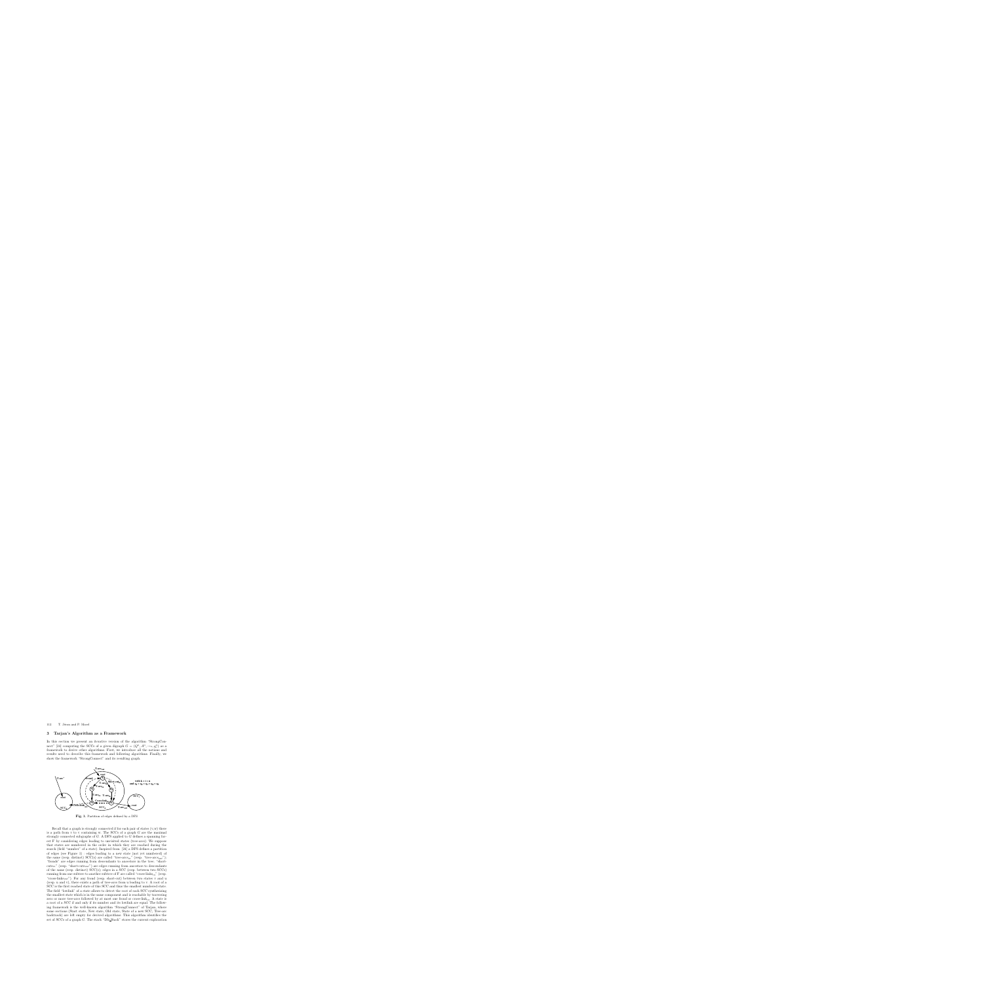### **3 Tarjan's Algorithm as a Framework**

In this section we present an iterative version of the algorithm "StrongConnect" [24] computing the SCCs of a given digraph  $G = (Q<sup>G</sup>, A<sup>G</sup>, \rightarrow_G, q<sup>G</sup><sub>0</sub>)$  as a framework to derive other algorithms. First, we introduce all the notions and results used to describe this framework and following algorithms. Finally, we show the framework "StrongConnect" and its resulting graph.



**Fig. 1.** Partition of edges defined by a DFS

Recall that a graph is strongly connected if for each pair of states  $(v,w)$  there is a path from  $v$  to  $v$  containing w. The SCCs of a graph  $G$  are the maximal strongly connected subgraphs of  $G$ . A DFS applied to  $G$  defines a spanning forest F by considering edges leading to unvisited states (tree-arcs). We suppose that states are numbered in the order in which they are reached during the search (field "number" of a state). Inspired from [24] a DFS defines a partition of edges (see Figure 1) : edges leading to a new state (not yet numbered) of the same (resp. distinct)  $SCC(s)$  are called "tree-arcs<sub>in</sub>" (resp. "tree-arcs<sub>out</sub>"); "fronds" are edges running from descendants to ancestors in the tree; "short $cuts<sub>in</sub>$ " (resp. "short-cuts<sub>out</sub>") are edges running from ancestors to descendants of the same (resp. distinct)  $SCC(s)$ ; edges in a  $SCC$  (resp. between two  $SCCs$ ) running from one subtree to another subtree of F are called "cross-links<sub>in</sub>" (resp. "cross-links<sub>out</sub>"). For any frond (resp. short-cut) between two states v and u (resp. u and v), there exists a path of tree-arcs from u leading to v. A root of a SCC is the first reached state of this SCC and thus the smallest numbered state. The field "lowlink" of a state allows to detect the root of each SCC synthesizing the smallest state which is in the same component and is reachable by traversing zero or more tree-arcs followed by at most one frond or cross-link<sub>in</sub>. A state is a root of a SCC if and only if its number and its lowlink are equal. The following framework is the well-known algorithm "StrongConnect" of Tarjan, where some sections (Start state, New state, Old state, State of a new SCC, Tree-arc backtrack) are left empty for derived algorithms. This algorithm identifies the set of SCCs of a graph G. The stack "Dfs Stack" stores the current exploration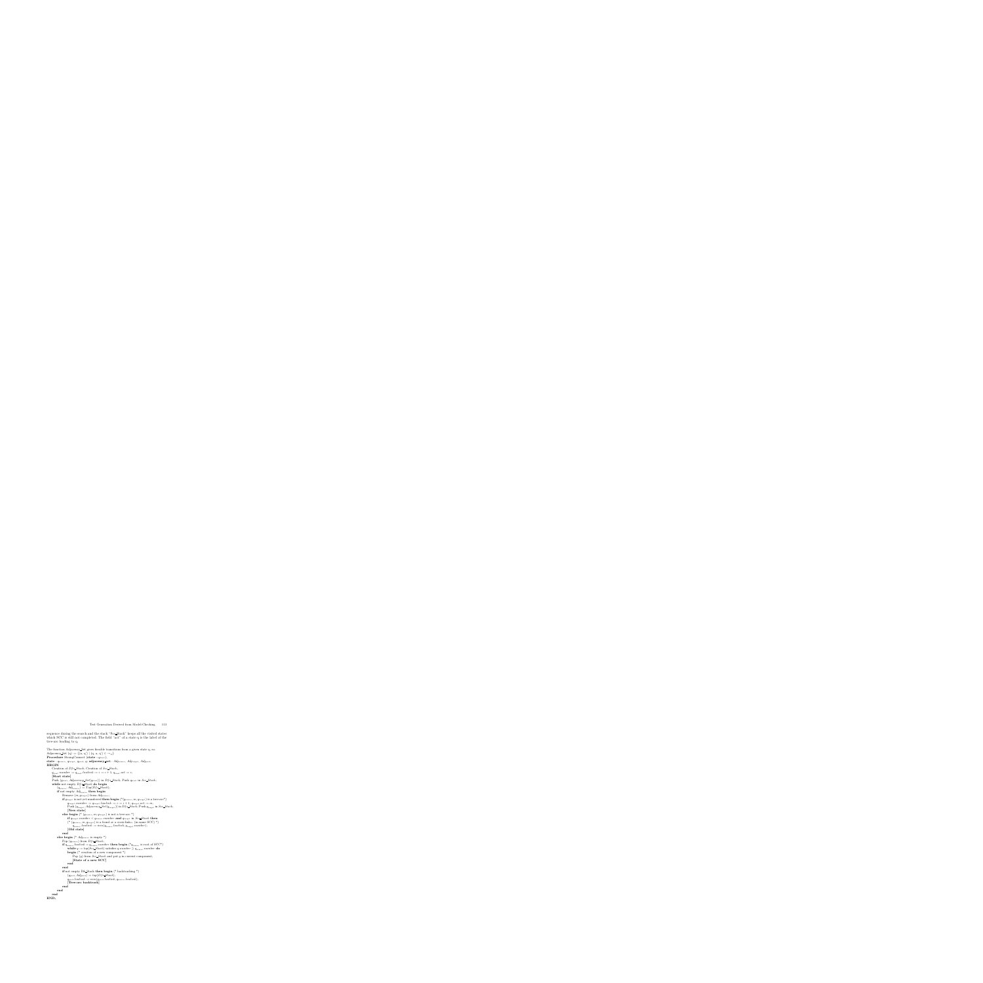sequence during the search and the stack "Scc Stack" keeps all the visited states which SCC is still not completed. The field "act" of a state q is the label of the tree-arc leading to q.

```
The function Adjacency Set gives fireable transitions from a given state q, so:
Adjacency Set (q) := \{(a, q') | (q, a, q') \in \rightarrow_G \}Procedure StrongConnect (state: q_{\text{start}});
state : q_{\text{source}}, q_{\text{target}}, q_{\text{pred}}, q; adjacency_set : Adj_{\text{source}}, Adj_{\text{target}}, Adj_{\text{pred}};
BEGIN
    Creation of Dfs Stack; Creation of Scc Stack;
    q_{\text{start}}.number := q_{\text{start}}.lowlink := i := i + 1; q_{\text{start}}.act := \epsilon;[Start state]
    Push (q_{\text{start}}, Adjacency\_Set(q_{\text{start}})) in Dfs Stack; Push q_{\text{start}} in Scc Stack;
    while not empty Dfs Stack do begin
         (q_{\text{source}}, Adj_{\text{source}}) := Top(Dfs\_Stack);if not empty Adj_{\text{source}} then begin
              Remove (m, q_{\text{target}}) from Adj_{\text{source}};
              if q_{\text{target}} is not yet numbered then begin (*(q_{\text{source}}, m, q_{\text{target}}) is a tree-arc*)
                   q_{\text{target}}.number := q_{\text{target}}.lowlink := i := i + 1; q_{\text{target}}.act := m;Push (q_{\text{target}}, Adjacency\_Set(q_{\text{target}})) in Dfs Stack; Push q_{\text{target}} in Scc Stack;
                   [New state]
              else begin (* (q_{\text{source}}, m, q_{\text{target}}) is not a tree-arc *)
                   if q_{\text{target}} number \lt q_{\text{source}} number and q_{\text{target}} in Scc Stack then
                   (* (q_{\text{source}}, m, q_{\text{target}}) is a frond or a cross-link<sub>in</sub> (in same SCC) *)
                        q_{\text{source}}.lowlink := min(q_{\text{source}}.lowlink, q_{\text{target}}.number);
                   [Old state]
              end
         else begin (* Adj_{\text{source}} is empty *)
              Pop (q_{\text{source}}) from Dfs\_Stack;if q_{\text{source}} lowlink = q_{\text{source}} number then begin (*q_{\text{source}} is root of SCC*)
                   while q := top(Scc\_Stack) satisfies q_number \geq q_{source}.number do
                   begin (* creation of a new component *)
                        Pop (q) from Scc Stack and put q in current component;
                        [State of a new SCC]
                   end
              end
              if not empty Dfs Stack then begin (* backtracking *)
                   (q_{\text{pred}}, Adj_{\text{pred}}) := top(Dfs\_Stack);q_{\text{pred}}.lowlink := min(q_{\text{pred}}.lowlink, q_{\text{source}}.lowlink);[Tree-arc backtrack]
              end
         end
    end
END;
```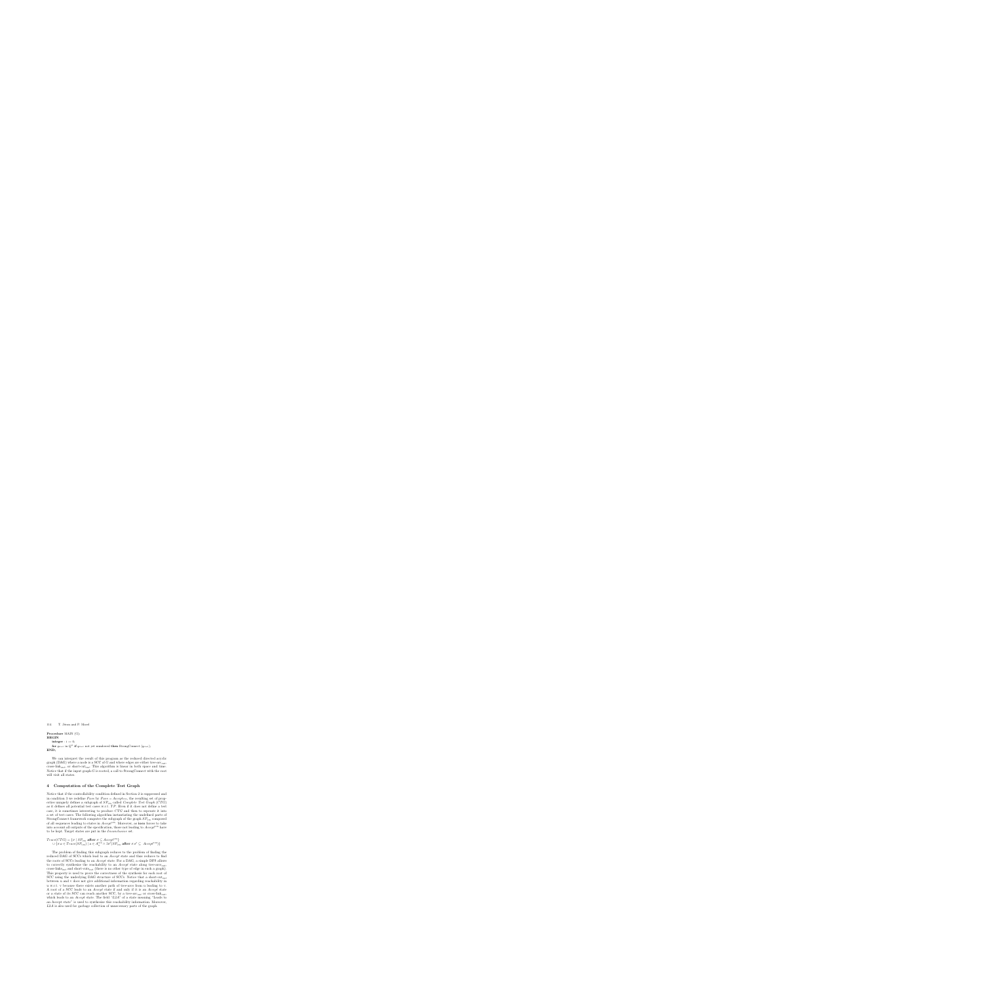```
Procedure MAIN (G);
BEGIN
    integer : i := 0;
    for q_{\text{start}} in Q^G if q_{\text{start}} not yet numbered then StrongConnect (q_{\text{start}});
END;
```
We can interpret the result of this program as the reduced directed acyclic graph (DAG) where a node is a SCC of G and where edges are either tree- $\arccos a$ cross-link<sub>out</sub>, or short-cut<sub>out</sub>. This algorithm is linear in both space and time. Notice that if the input graph  $G$  is rooted, a call to StrongConnect with the root will visit all states.

# **4 Computation of the Complete Test Graph**

Notice that if the controllability condition defined in Section 2 is suppressed and in condition 3 we redefine Pass by  $Pass = Accept_{VIS}$ , the resulting set of properties uniquely defines a subgraph of  $SP_{\text{VIS}}$  called *Complete Test Graph* (CTG) as it defines all potential test cases w.r.t.  $TP$ . Even if it does not define a test case, it is sometimes interesting to produce CTG and then to seperate it into a set of test cases. The following algorithm instantiating the undefined parts of StrongConnect framework computes the subgraph of the graph  $SP_{\text{VIS}}$  composed of all sequences leading to states in AcceptVIS. Moreover, as **ioco** forces to take into account all outputs of the specification, those not leading to  $Accept<sup>VIS</sup>$  have to be kept. Target states are put in the *Inconclusive* set.

$$
Trace(CTG) = \{ \sigma \mid SP_{\text{VIS}} \text{ after } \sigma \subseteq Accept^{\text{VIS}} \}
$$
  

$$
\cup \{ \sigma.a \in Trace(SP_{\text{VIS}}) \mid a \in A_{\text{O}}^{\text{VIS}} \land \exists \sigma'(SP_{\text{VIS}} \text{ after } \sigma.\sigma' \subseteq Accept^{\text{VIS}}) \}
$$

The problem of finding this subgraph reduces to the problem of finding the reduced DAG of SCCs which lead to an Accept state and thus reduces to find the roots of SCCs leading to an Accept state. For a DAG, a simple DFS allows to correctly synthesize the reachability to an  $Accept$  state along tree- $\arcsin_{out}$ , cross-links<sub>out</sub> and short-cuts<sub>out</sub> (there is no other type of edge in such a graph). This property is used to prove the correctness of the synthesis for each root of SCC using the underlying DAG structure of SCCs. Notice that a short-cut<sub>out</sub> between u and v does not give additional information regarding reachability in u w.r.t. v because there exists another path of tree-arcs from u leading to v. A root of a SCC leads to an Accept state if and only if it is an Accept state or a state of its SCC can reach another SCC, by a tree- $\arccos$  or cross-link<sub>out</sub>, which leads to an *Accept* state. The field "L2A" of a state meaning "Leads to an Accept state" is used to synthesize this reachability information. Moreover, L2A is also used for garbage collection of unnecessary parts of the graph.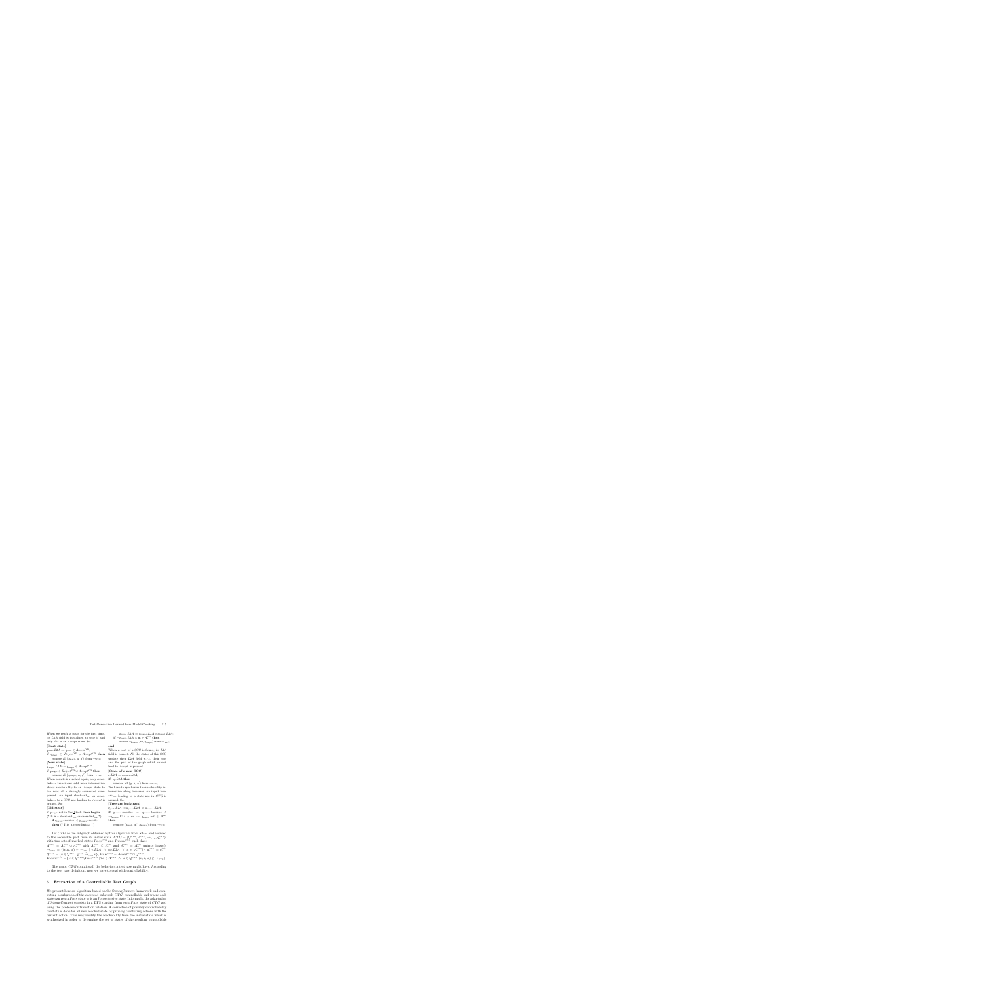When we reach a state for the first time, its L2A field is initialized to true if and only if it is an Accept state. So:

#### **[Start state]**

 $q_{\text{start}}.L2A := q_{\text{start}} \in Accept^{\text{VIS}};$ **if**  $q_{start}$  ∈  $Reject^{VIS} ∪ Accept^{VIS}$  **then** remove all  $(q_{\text{start}}, a, q')$  from  $\rightarrow_{\text{VIS}}$ ; **[New state]**

 $q_{\text{target}}$ . $L2A := q_{\text{target}} \in Accept^{\text{VIS}};$ **if**  $q_{\text{target}}$  ∈  $Reject^{\text{VIS}} \cup Accept^{\text{VIS}}$  **then** 

remove all  $(q_{\text{target}}, a, q')$  from  $\rightarrow_{\text{VIS}}$ ; When a state is reached again, only cross $link_{out}$  transitions add more information about reachability to an Accept state to the root of a strongly connected component. An input short-cut<sub>out</sub> or cross- $\mathop{\rm link}\nolimits_{out}$  to a SCC not leading to Accept is pruned. So:

#### **[Old state]**

**if** qtarget not in Scc Stack **then begin**

(\* It is a short-cut<sub>out</sub> or cross-link<sub>out</sub>\*) **if**  $q_{\text{target}}$ . $number < q_{\text{source}}$ . $number$ **then** (\* It is a cross-link<sub>out</sub> \*)

$$
q_{\text{source}}.L2A := q_{\text{source}}.L2A \lor q_{\text{target}}.L2A;
$$
  
if  $\neg q_{\text{target}}.L2A \land m \in A_{\text{I}}^{\text{VIS}}$  then  
remove  $(q_{\text{source}}, m, q_{\text{target}})$  from  $\rightarrow_{\text{VIS}}$ ;

#### **end**

When a root of a SCC is found, its L2A field is correct. All the states of this SCC update their L2A field w.r.t. their root and the part of the graph which cannot lead to Accept is pruned.

#### **[State of a new SCC]**

 $q.L2A := q_{\text{source}}.L2A;$ 

$$
\mathbf{if}\ \neg q.L2A\ \mathbf{then}
$$

remove all  $(q, a, q')$  from  $\rightarrow_{\text{VIS}}$ ;

We have to synthesize the reachability information along tree-arcs. An input tree- $\operatorname{arc}_{out}$  leading to a state not in  $CTG$  is pruned. So:

#### **[Tree-arc backtrack]**

 $q_{\text{pred}}$ . $L2A := q_{\text{pred}}$ . $L2A \vee q_{\text{source}}$ . $L2A$ ; **if**  $q_{source} . number = q_{source} . lowlink \Delta$  $\neg q_{\text{source}} . L2A \land m' := q_{\text{source}} . act \in A_{\text{I}}^{\text{VIS}}$ **then**

remove  $(q_{\text{pred}}, m', q_{\text{source}})$  from  $\rightarrow$ <sub>VIS</sub>;

Let  $CTG$  be the subgraph obtained by this algorithm from  $SP_{\text{VIS}}$  and reduced to the accessible part from its initial state.  $CTG = (Q^{\text{CTG}}, A^{\text{CTG}}, \rightarrow_{\text{CTG}}, q_0^{\text{CTG}})$ , with two sets of marked states  $Pass^{\text{CTG}}$  and  $Inconc^{\text{CTG}}$  such that:  $A^{\text{CTG}} = A_0^{\text{CTG}} \cup A_1^{\text{CTG}}$  with  $A_0^{\text{CTG}} \subseteq A_1^{\text{VIS}}$  and  $A_1^{\text{CTG}} = A_0^{\text{VIS}}$  (mirror image),  $\rightarrow_{\text{CTG}} = \{ (v, a, w) \in \rightarrow_{\text{VIS}} \mid v.L2A \;\land\; (w.L2A \;\lor\; a \in A^{\text{CTG}}_{\text{I}}) \}, q_0^{\text{CTG}} = q_0^{\text{VIS}},$  $Q^{\text{CTG}} = \{v \in Q^{\text{VIS}} \mid q_0^{\text{CTG}} \stackrel{*}{\rightarrow}_{\text{CTG}} v\}, \text{Pass}^{\text{CTG}} = Accept^{\text{VIS}} \cap Q^{\text{CTG}},$  $Inconc<sup>CTG</sup> = \{v \in \overline{Q}^{CTG} \setminus Pass<sup>CTG</sup> \mid \forall a \in A<sup>CTG</sup> \land w \in \overline{Q}^{CTG}, (v, a, w) \notin \rightarrow_{CTG}\}.$ 

The graph CTG contains all the behaviors a test case might have. According to the test case definition, now we have to deal with controllability.

# **5 Extraction of a Controllable Test Graph**

We present here an algorithm based on the StrongConnect framework and computing a subgraph of the accepted subgraph CTG, controllable and where each state can reach *Pass* state or is an *Inconclusive* state. Informally, the adaptation of StrongConnect consists in a DFS starting from each *Pass* state of CTG and using the predecessor transition relation. A correction of possibly controllability conflicts is done for all new reached state by pruning conflicting actions with the current action. This may modify the reachability from the initial state which is synthesized in order to determine the set of states of the resulting controllable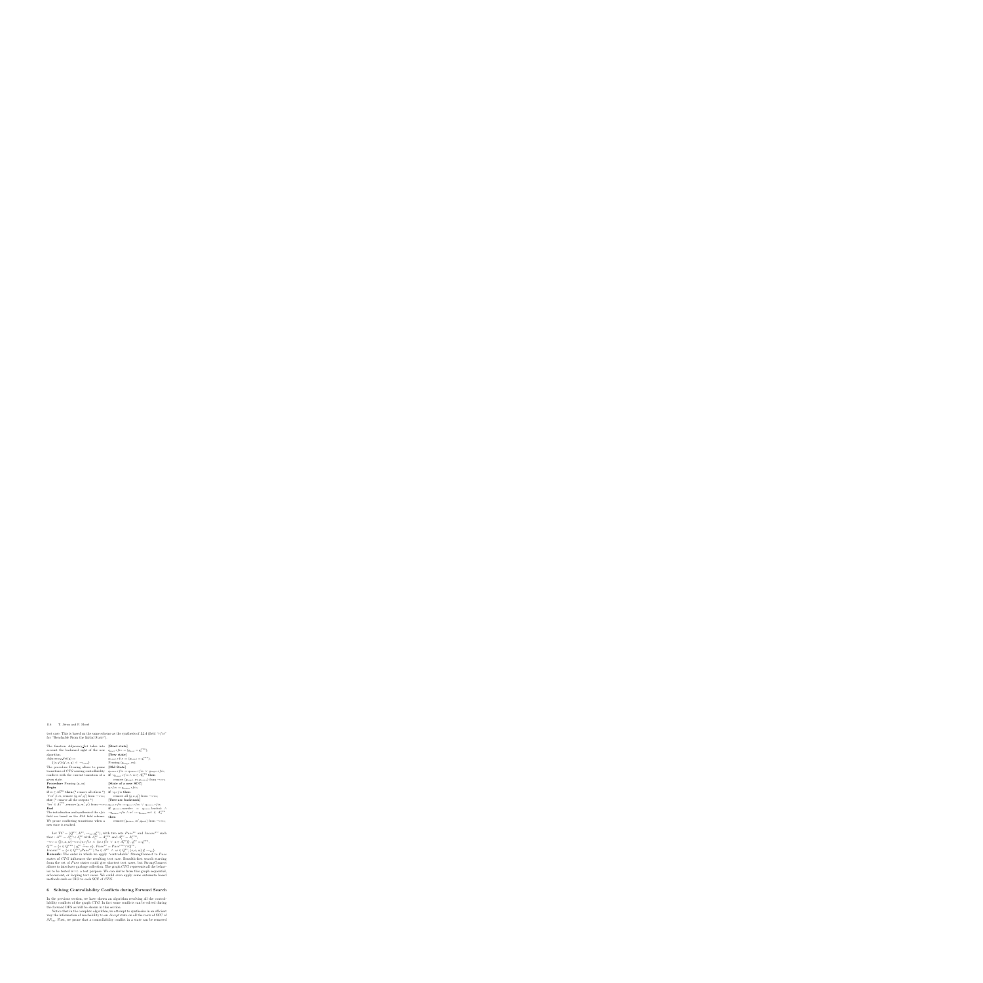test case. This is based on the same scheme as the synthesis of  $L2A$  (field "rfis" for "Reachable From the Initial State").

**[Start state]**

 $q_{\text{start}}.rfis := (q_{\text{start}} = q_0^{\text{CTG}});$ 

The function Adjacency Set takes into account the backward sight of the new algorithm.

 $Adjacency\_Set(q) :=$  $\{(a,q')|(q',a,q) \in \rightarrow_{\text{CTG}}\}$ The procedure Pruning allows to prune transitions of CTG causing controllability conflicts with the current transition of a given state. **Procedure** Pruning (q, m) **Begin if**  $m \in A_0^{\text{CTG}}$  **then** (\* remove all others \*)  $\forall m' \neq m$ , remove  $(q, m', q')$  from  $\rightarrow_{\text{CTG}}$ ; **else** (\* remove all the outputs \*)  $\forall m' \in A^{\text{CTG}}_{\text{O}}$ , remove  $(q, m', q')$  from  $\rightarrow$   $_{\text{CTG}}$ ;  $q_{\text{pred}}.r f is := q_{\text{pred}}.r f is \vee q_{\text{source}}.r f is;$ **End** The initialization and synthesis of the  $rfis$ field are based on the L2A field scheme. We prune conflicting transitions when a new state is reached. **[New state]**  $q_{\text{target}} \cdot r f i s := (q_{\text{target}} = q_0^{\text{CTG}});$ Pruning  $(q_{\text{target}}, m)$ ; **[Old State]**  $q_{\text{source}}.rfis := q_{\text{source}}.rfis \lor q_{\text{target}}.rfis;$  $\mathbf{if} \ \neg q_{\mathrm{target}} .rfis \ \land \ m \in A_{\mathrm{O}}^{\mathrm{CTG}} \ \mathbf{then}$ remove  $(q_{\text{target}}, m, q_{\text{source}})$  from  $\rightarrow_{\text{CTG}}$ **[State of a new SCC]**  $q.rf is := q_{\text{source}}.rf is;$ **if**  $\neg q.rf$ *is* **then** remove all  $(q, a, q')$  from  $\rightarrow_{\text{CTG}}$ ; **[Tree-arc backtrack] if**  $q_{\text{source}}.number = q_{\text{source}}.lowlink \wedge$  $\neg q_{\text{source}}.\nrfis \wedge m' := q_{\text{source}}.\nact \in A^{\text{CTG}}_{\text{O}}$ **then** remove  $(q_{\text{source}}, m', q_{\text{pred}})$  from  $\rightarrow$ <sub>CTG</sub>;

Let  $TC = (Q^{\text{TC}}, A^{\text{TC}}, \rightarrow_{\text{TC}}, q_0^{\text{TC}})$ , with two sets  $Pass^{\text{TC}}$  and  $Inconc^{\text{TC}}$  such that :  $A^{TC} = A_0^{TC} \cup A_1^{TC}$  with  $A_0^{TC} = A_0^{CTG}$  and  $A_1^{TC} = A_1^{CTG}$ ,  $\rightarrow_{\text{TC}}$  = { $(v, a, w) \rightarrow_{\text{CTG}}$  |v.rf is  $\land$  (w.rf is  $\lor a \in A_{\text{I}}^{\text{TC}}$ )},  $q_0^{\text{TC}} = q_0^{\text{CTG}}$ ,  $Q^{\text{TC}} = \{v \in Q^{\text{CTG}} \mid q_0^{\text{TC}} \stackrel{*}{\rightarrow}_{\text{TC}} v\}, \, Pass^{\text{TC}} = Pass^{\text{CTG}} \cap Q^{\text{TC}},$  $Inconc^{\text{TC}} = \{v \in Q^{\text{TC}} \setminus Pass^{\text{TC}} \mid \forall a \in A^{\text{TC}} \land w \in Q^{\text{TC}}, (v, a, w) \notin \rightarrow_{\text{TC}}\}.$ **Remark:** The order in which we apply "controllable" StrongConnect to Pass states of CTG influences the resulting test case. Breadth-first search starting from the set of Pass states could give shortest test cases, but StrongConnect allows to interleave garbage collection. The graph CTG represents all the behavior to be tested w.r.t. a test purpose. We can derive from this graph sequential, arborescent, or looping test cases. We could even apply some automata based

# **6 Solving Controllability Conflicts during Forward Search**

methods such as UIO to each SCC of CTG.

In the previous section, we have shown an algorithm resolving all the controllability conflicts of the graph CTG. In fact some conflicts can be solved during the forward DFS as will be shown in this section.

Notice that in the complete algorithm, we attempt to synthesize in an efficient way the information of reachability to an *Accept* state on all the roots of SCC of  $SP<sub>VIS</sub>$ . First, we prone that a controllability conflict in a state can be removed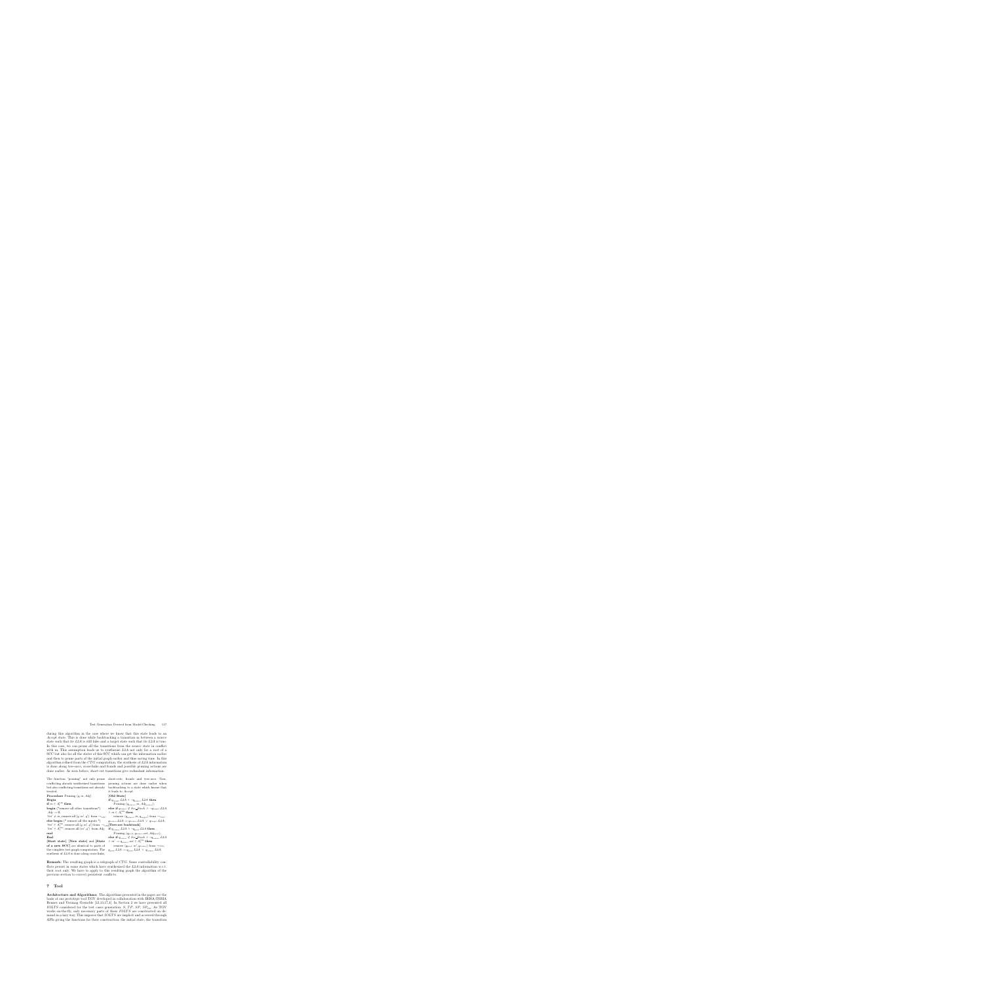during this algorithm in the case where we know that this state leads to an Accept state. This is done while backtracking a transition m between a source state such that its  $L2A$  is still false and a target state such that its  $L2A$  is true. In this case, we can prune all the transitions from the source state in conflict with m. This assumption leads us to synthesize  $L2A$  not only for a root of a SCC but also for all the states of this SCC which can get the information earlier and then to prune parts of the initial graph earlier and thus saving time. In this algorithm refined from the  $CTG$  computation, the synthesis of  $L2A$  information is done along tree-arcs, cross-links and fronds and possible pruning actions are done earlier. As seen before, short-cut transitions give redundant information.

The function "pruning" not only prune conflicting already synthesized transitions but also conflicting transitions not already treated.

synthesis of L2A is done along cross-links,

**Procedure** Pruning  $(q, m, Adj)$ **Begin**  $\textbf{if } m \in A^{\text{VIS}}_{\text{I}} \textbf{ then}$ **begin** (\*remove all other transitions\*)  $Adj := \emptyset;$  $\forall m' \neq m$ , remove all  $(q, m', q')$  from  $\rightarrow_{\text{VIS}}$ ; **else begin** (\* remove all the inputs \*)  $\forall m' \in A^{\text{VIS}}_{\text{I}}$ , remove all  $(q, m', q')$  from  $\rightarrow_{\text{VIS}}$ **[Tree-arc backtrack]**  $\forall m' \in A_I^{\text{VIS}}$ , remove all  $(m', q')$  from  $Adj$ ; **end End [Start state]**, **[New state]** and **[State of a new SCC]** are identical to parts of the complete test graph computation. The **[Old State]**  $\wedge$   $m \in A_{\rm I}^{\rm VIS}$  then

short-cuts, fronds and tree-arcs. Now, pruning actions are done earlier when backtracking to a state which knows that it leads to Accept.

**if**  $q_{\text{target}}$ . $L2A \wedge \neg q_{\text{source}}$ . $L2A$  **then** Pruning  $(q_{\text{source}}, m, Adj_{\text{source}});$ **else if**  $q_{\text{target}} \notin \text{Scc\_Stack} \land \neg q_{\text{target}}$ .L2A remove  $(q_{\text{source}}, m, q_{\text{target}})$  from  $\rightarrow$ <sub>VIS</sub>;  $q_{\text{source}}.L2A := q_{\text{source}}.L2A \ \lor \ q_{\text{target}}.L2A;$ **if**  $q_{\text{source}}$ . $L2A \wedge \neg q_{\text{pred}}$ . $L2A$  **then** Pruning  $(q_{\text{pred}}, q_{\text{source}}.act, Adj_{\text{pred}});$ **else if**  $q_{\text{source}} \notin \text{Scc\_Stack} \land \neg q_{\text{source}} \cdot L2A$  $\wedge m' := q_{\mathrm{source}}.act \in A_{\mathrm{I}}^{\mathrm{VIS}}$  then remove  $(q_{\text{pred}}, m', q_{\text{source}})$  from  $\rightarrow$ <sub>VIS</sub>;  $q_{\text{pred}}.L2A := q_{\text{pred}}.L2A \ \lor \ q_{\text{source}}.L2A;$ 

**Remark:** The resulting graph is a subgraph of CTG. Some controllability conflicts persist in some states which have synthesized the  $L2A$  information w.r.t. their root only. We have to apply to this resulting graph the algorithm of the previous section to correct persistent conflicts.

# **7 Tool**

**Architecture and Algorithms:** The algorithms presented in the paper are the basis of our prototype tool TGV developed in collaboration with IRISA/INRIA Rennes and Verimag Grenoble [12,13,17,4]. In Section 2 we have presented all IOLTS considered for the test cases generation:  $S$ ,  $TP$ ,  $SP$ ,  $SP_{\text{VIS}}$ . As TGV works on-the-fly, only necessary parts of these *IOLTS* are constructed on demand in a lazy way. This imposes that *IOLTS* are implicit and accessed through APIs giving the functions for their construction: the initial state, the transition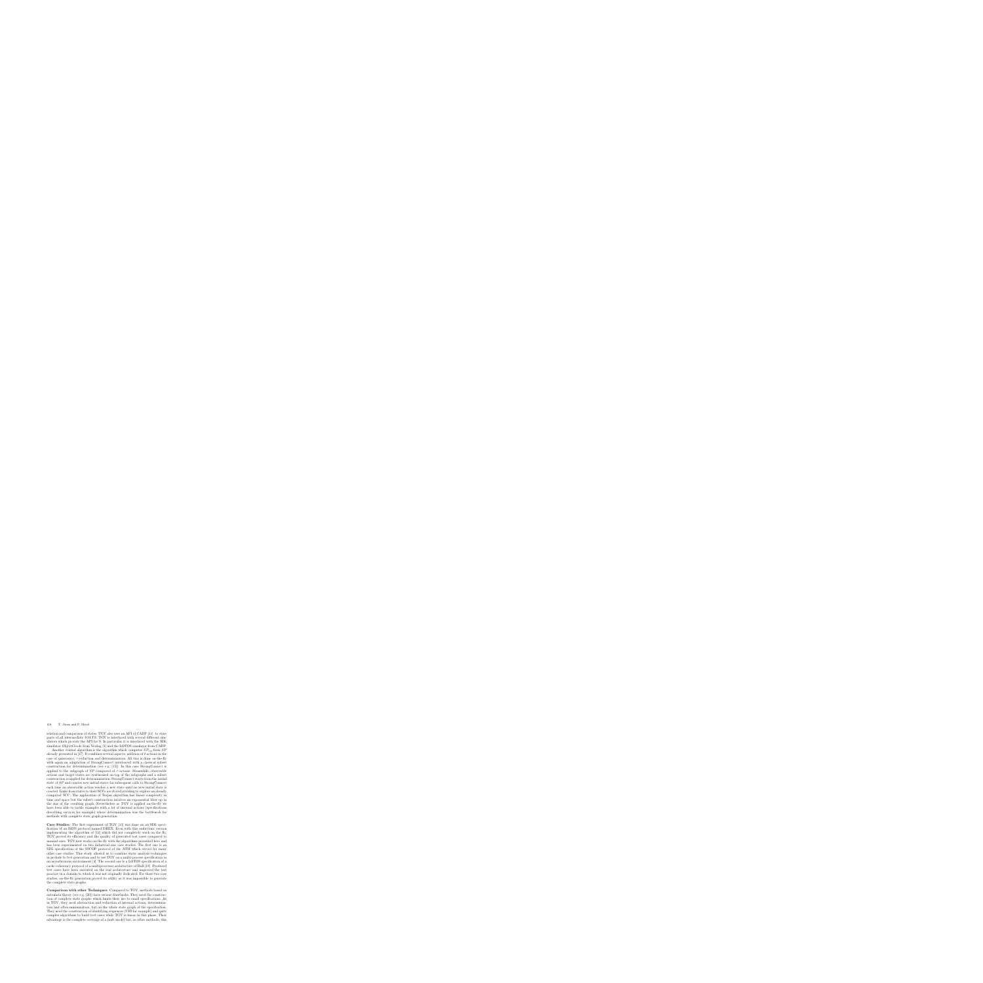relation and comparison of states. TGV also uses an API of CADP [11] to store parts of all intermediate *IOLTS*. TGV is interfaced with several different simulators which provide the API for S. In particular it is interfaced with the SDL simulator ObjectGeode from Verilog [3] and the LOTOS simulator from CADP.

Another central algorithm is the algorithm which computes  $SP_{\text{VIS}}$  from  $SP$ already presented in [17]. It combines several aspects: addition of  $\delta$  actions in the case of quiescence,  $\tau$ -reduction and determinization. All this is done on-the-fly with again an adaptation of StrongConnect interleaved with a classical subset construction for determinization (see e.g. [15]). In this case StrongConnect is applied to the subgraph of  $SP$  composed of  $\tau$ -actions. Meanwhile, observable actions and target states are synthesized on top of the subgraphs and a subset construction is applied for determinization. StrongConnect starts from the initial state of SP and creates new initial states for subsequent calls to StrongConnect each time an observable action reaches a new state until no new initial state is created. Links from states to their SCCs are stored avoiding to explore an already computed SCC. The application of Tarjan algorithm has linear complexity in time and space but the subset construction involves an exponential blow up in the size of the resulting graph. Nevertheless as TGV is applied on-the-fly we have been able to tackle examples with a lot of internal actions (specifications describing services for example) where determinization was the bottleneck for methods with complete state graph generation.

**Case Studies:** The first experiment of TGV [13] was done on an SDL specification of an ISDN protocol named DREX. Even with this embryonic version implementing the algorithm of [12] which did not completely work on the fly, TGV proved its efficiency and the quality of generated test cases compared to manual ones. TGV now works on-the-fly with the algorithms presented here and has been experimented on two industrial size case studies. The first one is an SDL specification of the SSCOP protocol of the ATM which served for many other case studies. This study allowed us to combine static analysis techniques in prelude to test generation and to use TGV on a multi-process specification in an asynchronous environment [4]. The second one is a LOTOS specification of a cache coherency protocol of a multiprocessor architecture of Bull [18]. Produced test cases have been executed on the real architecture and improved the test practice in a domain to which it was not originally dedicated. For these two case studies, on-the-fly generation proved its utility as it was impossible to generate the complete state graphs.

**Comparison with other Techniques:** Compared to TGV, methods based on automata theory (see e.g. [20]) have serious drawbacks. They need the construction of complete state graphs which limits their use to small specifications. As in TGV, they need abstraction and reduction of internal actions, determinization and often minimization, but on the whole state graph of the specification. They need the construction of identifying sequences (UIO for example) and quite complex algorithms to build test cases while TGV is linear in this phase. Their advantage is the complete coverage of a fault model but, as other methods, this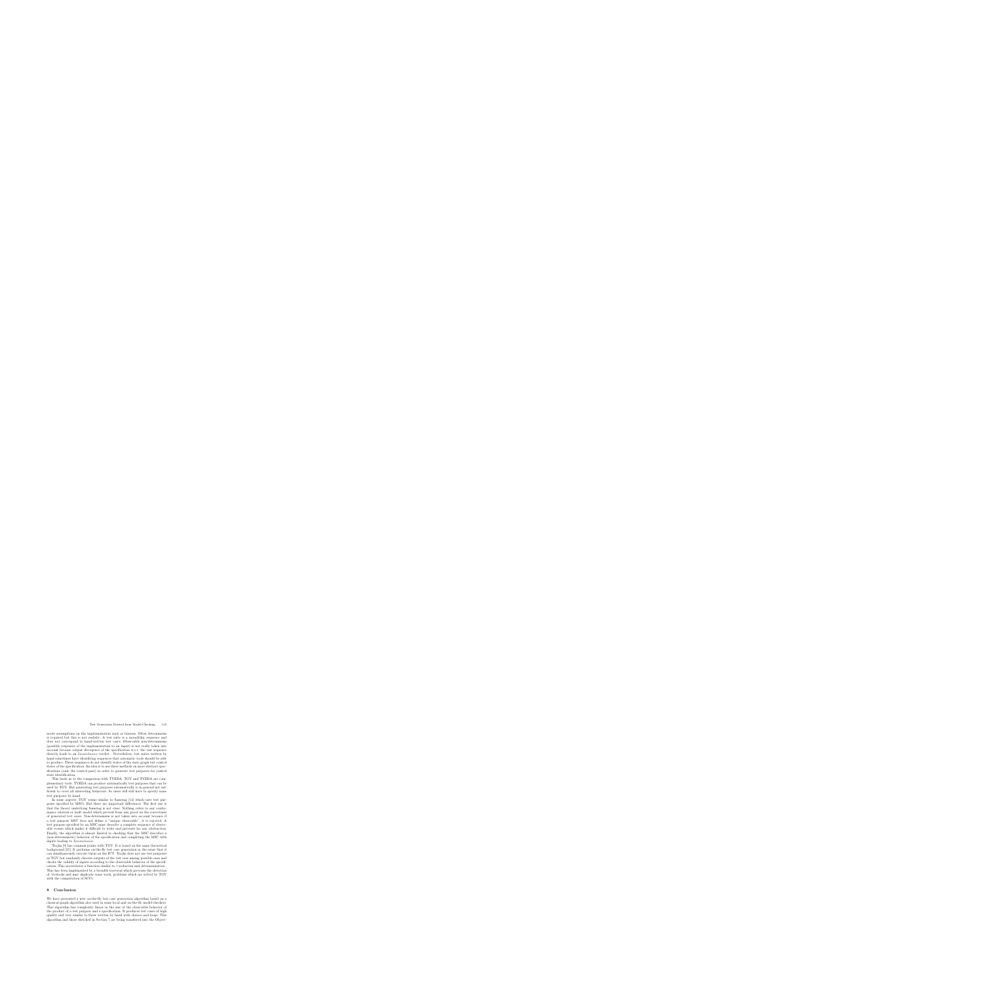needs assumptions on the implementation such as fairness. Often determinism is required but this is not realistic. A test suite is a monolithic sequence and does not correspond to hand-written test cases. Observable non-determinism (possible responses of the implementation to an input) is not really taken into account because output divergence of the specification w.r.t. the test sequence directly leads to an *Inconclusive* verdict. Nevertheless, test suites written by hand sometimes have identifying sequences that automatic tools should be able to produce. These sequences do not identify states of the state graph but control states of the specification. An idea is to use these methods on more abstract specifications (only the control part) in order to generate test purposes for control state identification.

This leads us to the comparison with TVEDA. TGV and TVEDA are complementary tools. TVEDA can produce automatically test purposes that can be used by TGV. But generating test purposes automatically is in general not sufficient to cover all interesting behaviors. So users will still have to specify some test purposes by hand.

In some aspects, TGV seems similar to Samstag [14] which uses test purposes specified by MSCs. But there are important differences. The first one is that the theory underlying Samstag is not clear. Nothing refers to any conformance relation or fault model which prevent from any proof on the correctness of generated test cases. Non-determinism is not taken into account because if a test purpose MSC does not define a "unique observable", it is rejected. A test purpose specified by an MSC must describe a complete sequence of observable events which makes it difficult to write and prevents for any abstraction. Finally, the algorithm is almost limited to checking that the MSC describes a (non-deterministic) behavior of the specification and completing the MSC with inputs leading to Inconclusive.

Trojka [9] has common points with TGV. It is based on the same theoretical background [25]. It performs on-the-fly test case generation in the sense that it can simultaneously execute them on the IUT. Trojka does not use test purposes as TGV but randomly chooses outputs of the test case among possible ones and checks the validity of inputs according to the observable behavior of the specification. This necessitates a function similar to  $\tau$ -reduction and determinization. This has been implemented by a breadth traversal which prevents the detection of livelocks and may duplicate some work, problems which are solved by TGV with the computation of SCCs.

### **8 Conclusion**

We have presented a new on-the-fly test case generation algorithm based on a classical graph algorithm also used in some local and on-the-fly model-checkers. This algorithm has complexity linear in the size of the observable behavior of the product of a test purpose and a specification. It produces test cases of high quality and very similar to those written by hand with choices and loops. This algorithm and those sketched in Section 7 are being transfered into the Object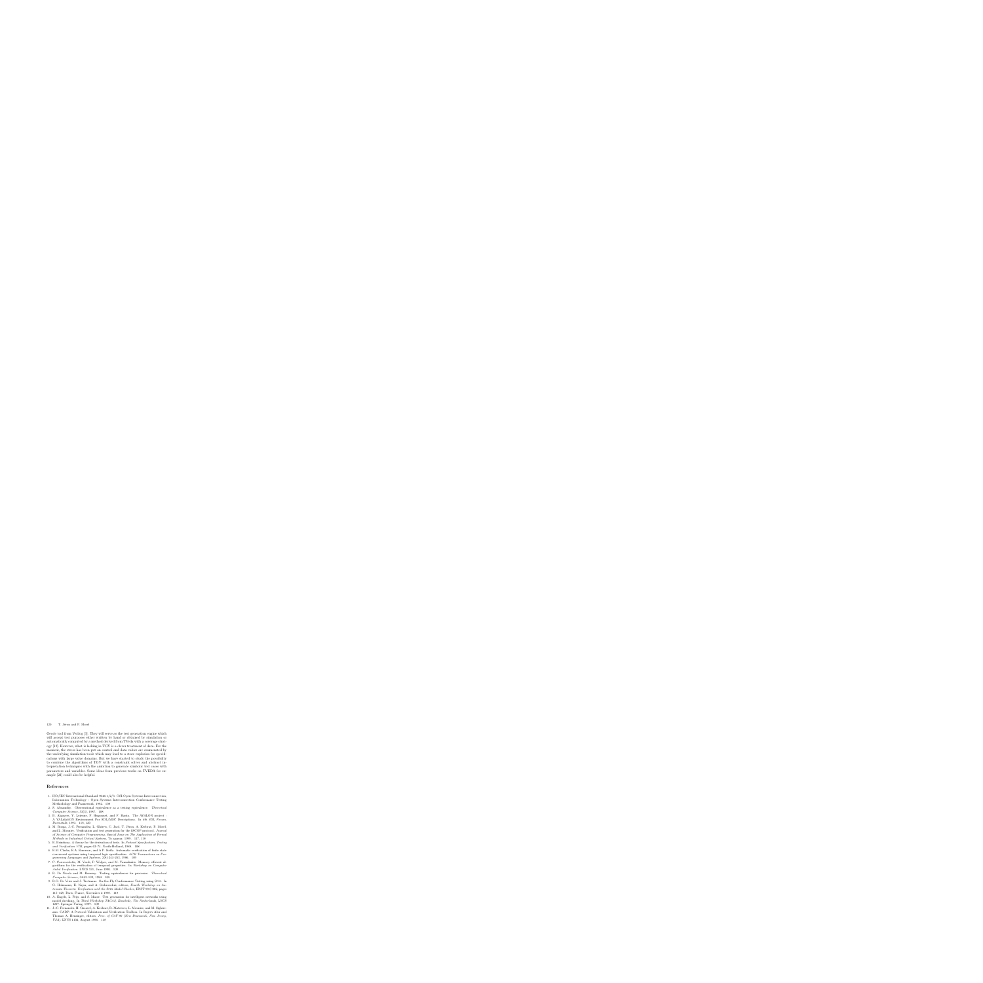Geode tool from Verilog [3]. They will serve as the test generation engine which will accept test purposes either written by hand or obtained by simulation or automatically computed by a method derived from TVeda with a coverage strategy [19]. However, what is lacking in TGV is a clever treatment of data. For the moment, the stress has been put on control and data values are enumerated by the underlying simulation tools which may lead to a state explosion for specifications with large value domains. But we have started to study the possibility to combine the algorithms of TGV with a constraint solver and abstract interpretation techniques with the ambition to generate symbolic test cases with parameters and variables. Some ideas from previous works on TVEDA for example [22] could also be helpful.

# **References**

- 1. ISO/IEC International Standard 9646-1/2/3. OSI-Open Systems Interconnection, Information Technology - Open Systems Interconnection Conformance Testing Methodology and Framework, 1992. 108
- 2. S. Abramsky. Observational equivalence as a testing equivalence. *Theoretical Computer Science*, 53(3), 1987. 108
- 3. B. Algayres, Y. Lejeune, F. Hugonnet, and F. Hantz. The AVALON project : A VALidatiON Environment For SDL/MSC Descriptions. In *6th SDL Forum, Darmstadt*, 1993. 118, 120
- 4. M. Bozga, J.-C. Fernandez, L. Ghirvu, C. Jard, T. Jéron, A. Kerbrat, P. Morel, and L. Mounier. Verification and test generation for the SSCOP protocol. *Journal of Science of Computer Programming, Special Issue on The Application of Formal Methods in Industrial Critical Systems*, To appear, 1999. 117, 118
- 5. E. Brinskma. A theory for the derivation of tests. In *Protocol Specification, Testing and Verification VIII*, pages 63–74. North-Holland, 1988. 108
- 6. E.M. Clarke, E.A. Emerson, and A.P. Sistla. Automatic verification of finite state concurrent systems using temporal logic specification. *ACM Transactions on Programming Languages and Systems*, 2(8):244–263, 1986. 109
- 7. C. Courcoubetis, M. Vardi, P. Wolper, and M. Yannakakis. Memory efficient algorithms for the verification of temporal properties. In *Workshop on Computer Aided Verification*. LNCS 531, June 1990. 109
- 8. R. De Nicola and M. Henessy. Testing equivalences for processes. *Theoretical Computer Science*, 34:83–133, 1984. 108
- 9. R.G. De Vries and J. Tretmans. On-the-Fly Conformance Testing using Spin. In G. Holzmann, E. Najm, and A. Serhrouchni, editors, *Fourth Workshop on Automata Theoretic Verification with the* Spin *Model Checker*, ENST 98 S 002, pages 115–128, Paris, France, November 2 1998. 119
- 10. A. Engels, L. Feijs, and S. Mauw. Test generation for intelligent networks using model checking. In *Third Workshop TACAS, Enschede, The Netherlands*, LNCS 1217. Springer-Verlag, 1997. 109
- 11. J.-C. Fernandez, H. Garavel, A. Kerbrat, R. Mateescu, L. Mounier, and M. Sighireanu. CADP: A Protocol Validation and Verification Toolbox. In Rajeev Alur and Thomas A. Henzinger, editors, *Proc. of CAV'96 (New Brunswick, New Jersey, USA)*. LNCS 1102, August 1996. 118